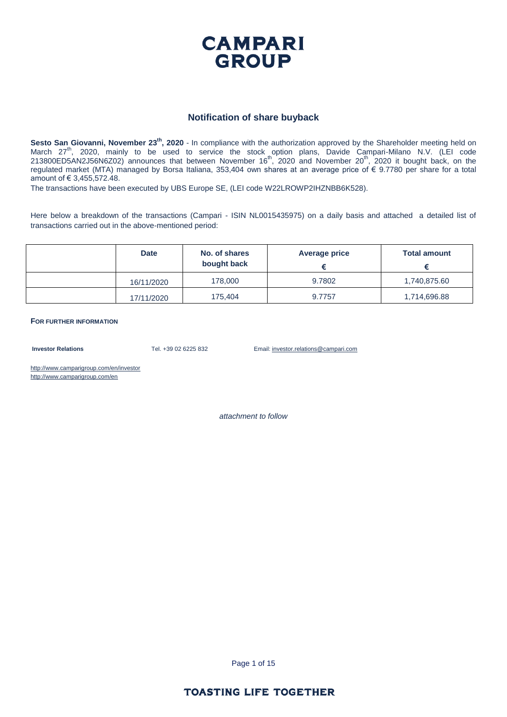

#### **Notification of share buyback**

**Sesto San Giovanni, November 23th, 2020** - In compliance with the authorization approved by the Shareholder meeting held on March 27<sup>th</sup>, 2020, mainly to be used to service the stock option plans, Davide Campari-Milano N.V. (LEI code  $213800ED5AN2J56N6Z02)$  announces that between November 16<sup>th</sup>, 2020 and November 20<sup>th</sup>, 2020 it bought back, on the regulated market (MTA) managed by Borsa Italiana, 353,404 own shares at an average price of € 9.7780 per share for a total amount of € 3,455,572.48.

The transactions have been executed by UBS Europe SE, (LEI code W22LROWP2IHZNBB6K528).

Here below a breakdown of the transactions (Campari - ISIN NL0015435975) on a daily basis and attached a detailed list of transactions carried out in the above-mentioned period:

| <b>Date</b> | No. of shares<br>bought back | Average price | <b>Total amount</b> |
|-------------|------------------------------|---------------|---------------------|
| 16/11/2020  | 178,000                      | 9.7802        | 1,740,875.60        |
| 17/11/2020  | 175,404                      | 9.7757        | 1,714,696.88        |

**FOR FURTHER INFORMATION**

**Investor Relations** Tel. +39 02 6225 832 Email: investor.relations@campari.com

http://www.camparigroup.com/en/investor http://www.camparigroup.com/en

*attachment to follow*

Page 1 of 15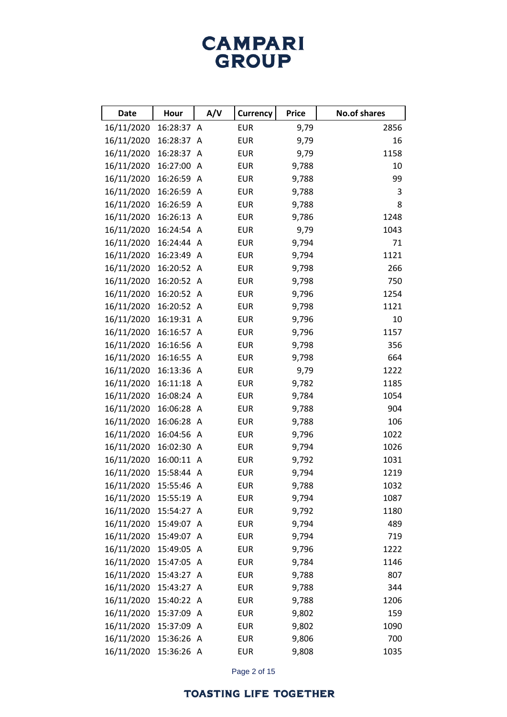# **CAMPARI**<br>GROUP

| <b>Date</b>           | Hour       | A/V | <b>Currency</b> | <b>Price</b> | <b>No.of shares</b> |
|-----------------------|------------|-----|-----------------|--------------|---------------------|
| 16/11/2020            | 16:28:37 A |     | <b>EUR</b>      | 9,79         | 2856                |
| 16/11/2020            | 16:28:37 A |     | <b>EUR</b>      | 9,79         | 16                  |
| 16/11/2020            | 16:28:37 A |     | <b>EUR</b>      | 9,79         | 1158                |
| 16/11/2020            | 16:27:00 A |     | <b>EUR</b>      | 9,788        | 10                  |
| 16/11/2020            | 16:26:59 A |     | <b>EUR</b>      | 9,788        | 99                  |
| 16/11/2020            | 16:26:59 A |     | <b>EUR</b>      | 9,788        | 3                   |
| 16/11/2020            | 16:26:59 A |     | <b>EUR</b>      | 9,788        | 8                   |
| 16/11/2020            | 16:26:13 A |     | <b>EUR</b>      | 9,786        | 1248                |
| 16/11/2020            | 16:24:54 A |     | <b>EUR</b>      | 9,79         | 1043                |
| 16/11/2020            | 16:24:44 A |     | <b>EUR</b>      | 9,794        | 71                  |
| 16/11/2020            | 16:23:49 A |     | <b>EUR</b>      | 9,794        | 1121                |
| 16/11/2020            | 16:20:52 A |     | <b>EUR</b>      | 9,798        | 266                 |
| 16/11/2020            | 16:20:52 A |     | <b>EUR</b>      | 9,798        | 750                 |
| 16/11/2020            | 16:20:52 A |     | <b>EUR</b>      | 9,796        | 1254                |
| 16/11/2020            | 16:20:52 A |     | <b>EUR</b>      | 9,798        | 1121                |
| 16/11/2020            | 16:19:31 A |     | <b>EUR</b>      | 9,796        | 10                  |
| 16/11/2020            | 16:16:57 A |     | <b>EUR</b>      | 9,796        | 1157                |
| 16/11/2020            | 16:16:56 A |     | <b>EUR</b>      | 9,798        | 356                 |
| 16/11/2020            | 16:16:55 A |     | <b>EUR</b>      | 9,798        | 664                 |
| 16/11/2020            | 16:13:36 A |     | <b>EUR</b>      | 9,79         | 1222                |
| 16/11/2020            | 16:11:18 A |     | <b>EUR</b>      | 9,782        | 1185                |
| 16/11/2020            | 16:08:24 A |     | <b>EUR</b>      | 9,784        | 1054                |
| 16/11/2020            | 16:06:28 A |     | <b>EUR</b>      | 9,788        | 904                 |
| 16/11/2020            | 16:06:28 A |     | <b>EUR</b>      | 9,788        | 106                 |
| 16/11/2020            | 16:04:56 A |     | <b>EUR</b>      | 9,796        | 1022                |
| 16/11/2020            | 16:02:30 A |     | <b>EUR</b>      | 9,794        | 1026                |
| 16/11/2020            | 16:00:11 A |     | <b>EUR</b>      | 9,792        | 1031                |
| 16/11/2020            | 15:58:44 A |     | <b>EUR</b>      | 9,794        | 1219                |
| 16/11/2020 15:55:46 A |            |     | <b>EUR</b>      | 9,788        | 1032                |
| 16/11/2020 15:55:19 A |            |     | <b>EUR</b>      | 9,794        | 1087                |
| 16/11/2020            | 15:54:27 A |     | <b>EUR</b>      | 9,792        | 1180                |
| 16/11/2020            | 15:49:07 A |     | <b>EUR</b>      | 9,794        | 489                 |
| 16/11/2020            | 15:49:07 A |     | <b>EUR</b>      | 9,794        | 719                 |
| 16/11/2020            | 15:49:05 A |     | <b>EUR</b>      | 9,796        | 1222                |
| 16/11/2020            | 15:47:05 A |     | <b>EUR</b>      | 9,784        | 1146                |
| 16/11/2020            | 15:43:27 A |     | <b>EUR</b>      | 9,788        | 807                 |
| 16/11/2020            | 15:43:27 A |     | <b>EUR</b>      | 9,788        | 344                 |
| 16/11/2020            | 15:40:22 A |     | <b>EUR</b>      | 9,788        | 1206                |
| 16/11/2020            | 15:37:09 A |     | <b>EUR</b>      | 9,802        | 159                 |
| 16/11/2020            | 15:37:09 A |     | <b>EUR</b>      | 9,802        | 1090                |
| 16/11/2020            | 15:36:26 A |     | <b>EUR</b>      | 9,806        | 700                 |
| 16/11/2020            | 15:36:26 A |     | <b>EUR</b>      | 9,808        | 1035                |

Page 2 of 15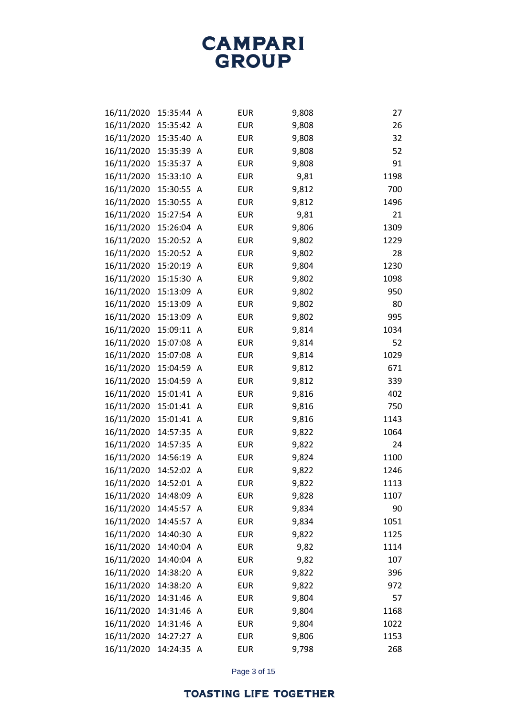| 16/11/2020 | 15:35:44 A |   | <b>EUR</b> | 9,808 | 27   |
|------------|------------|---|------------|-------|------|
| 16/11/2020 | 15:35:42 A |   | <b>EUR</b> | 9,808 | 26   |
| 16/11/2020 | 15:35:40   | A | <b>EUR</b> | 9,808 | 32   |
| 16/11/2020 | 15:35:39   | A | <b>EUR</b> | 9,808 | 52   |
| 16/11/2020 | 15:35:37   | A | <b>EUR</b> | 9,808 | 91   |
| 16/11/2020 | 15:33:10   | A | <b>EUR</b> | 9,81  | 1198 |
| 16/11/2020 | 15:30:55   | A | <b>EUR</b> | 9,812 | 700  |
| 16/11/2020 | 15:30:55 A |   | <b>EUR</b> | 9,812 | 1496 |
| 16/11/2020 | 15:27:54 A |   | <b>EUR</b> | 9,81  | 21   |
| 16/11/2020 | 15:26:04 A |   | <b>EUR</b> | 9,806 | 1309 |
| 16/11/2020 | 15:20:52 A |   | <b>EUR</b> | 9,802 | 1229 |
| 16/11/2020 | 15:20:52 A |   | <b>EUR</b> | 9,802 | 28   |
| 16/11/2020 | 15:20:19   | A | <b>EUR</b> | 9,804 | 1230 |
| 16/11/2020 | 15:15:30 A |   | <b>EUR</b> | 9,802 | 1098 |
| 16/11/2020 | 15:13:09 A |   | <b>EUR</b> | 9,802 | 950  |
| 16/11/2020 | 15:13:09 A |   | <b>EUR</b> | 9,802 | 80   |
| 16/11/2020 | 15:13:09   | A | <b>EUR</b> | 9,802 | 995  |
| 16/11/2020 | 15:09:11 A |   | <b>EUR</b> | 9,814 | 1034 |
| 16/11/2020 | 15:07:08   | A | <b>EUR</b> | 9,814 | 52   |
| 16/11/2020 | 15:07:08 A |   | <b>EUR</b> | 9,814 | 1029 |
| 16/11/2020 | 15:04:59   | A | <b>EUR</b> | 9,812 | 671  |
| 16/11/2020 | 15:04:59 A |   | <b>EUR</b> | 9,812 | 339  |
| 16/11/2020 | 15:01:41   | A | <b>EUR</b> | 9,816 | 402  |
| 16/11/2020 | 15:01:41 A |   | <b>EUR</b> | 9,816 | 750  |
| 16/11/2020 | 15:01:41   | A | <b>EUR</b> | 9,816 | 1143 |
| 16/11/2020 | 14:57:35 A |   | <b>EUR</b> | 9,822 | 1064 |
| 16/11/2020 | 14:57:35   | A | <b>EUR</b> | 9,822 | 24   |
| 16/11/2020 | 14:56:19 A |   | <b>EUR</b> | 9,824 | 1100 |
| 16/11/2020 | 14:52:02   | A | <b>EUR</b> | 9,822 | 1246 |
| 16/11/2020 | 14:52:01 A |   | <b>EUR</b> | 9,822 | 1113 |
| 16/11/2020 | 14:48:09 A |   | <b>EUR</b> | 9,828 | 1107 |
| 16/11/2020 | 14:45:57 A |   | <b>EUR</b> | 9,834 | 90   |
| 16/11/2020 | 14:45:57   | A | <b>EUR</b> | 9,834 | 1051 |
| 16/11/2020 | 14:40:30 A |   | <b>EUR</b> | 9,822 | 1125 |
| 16/11/2020 | 14:40:04 A |   | <b>EUR</b> | 9,82  | 1114 |
| 16/11/2020 | 14:40:04 A |   | <b>EUR</b> | 9,82  | 107  |
| 16/11/2020 | 14:38:20 A |   | <b>EUR</b> | 9,822 | 396  |
| 16/11/2020 | 14:38:20 A |   | <b>EUR</b> | 9,822 | 972  |
| 16/11/2020 | 14:31:46 A |   | <b>EUR</b> | 9,804 | 57   |
| 16/11/2020 | 14:31:46 A |   | <b>EUR</b> | 9,804 | 1168 |
| 16/11/2020 | 14:31:46 A |   | <b>EUR</b> | 9,804 | 1022 |
| 16/11/2020 | 14:27:27 A |   | <b>EUR</b> | 9,806 | 1153 |
| 16/11/2020 | 14:24:35 A |   | <b>EUR</b> | 9,798 | 268  |

Page 3 of 15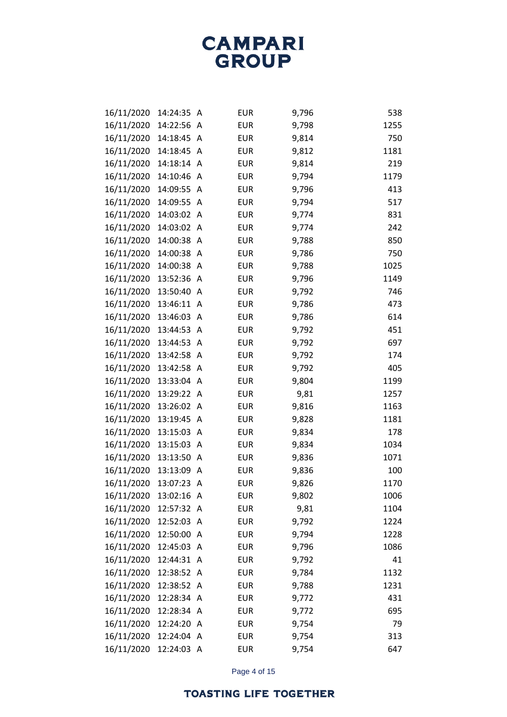| 16/11/2020 | 14:24:35   | A              | <b>EUR</b> | 9,796 | 538  |
|------------|------------|----------------|------------|-------|------|
| 16/11/2020 | 14:22:56 A |                | <b>EUR</b> | 9,798 | 1255 |
| 16/11/2020 | 14:18:45   | A              | <b>EUR</b> | 9,814 | 750  |
| 16/11/2020 | 14:18:45 A |                | <b>EUR</b> | 9,812 | 1181 |
| 16/11/2020 | 14:18:14   | $\overline{A}$ | <b>EUR</b> | 9,814 | 219  |
| 16/11/2020 | 14:10:46   | A              | <b>EUR</b> | 9,794 | 1179 |
| 16/11/2020 | 14:09:55   | A              | <b>EUR</b> | 9,796 | 413  |
| 16/11/2020 | 14:09:55   | A              | <b>EUR</b> | 9,794 | 517  |
| 16/11/2020 | 14:03:02   | A              | <b>EUR</b> | 9,774 | 831  |
| 16/11/2020 | 14:03:02   | A              | <b>EUR</b> | 9,774 | 242  |
| 16/11/2020 | 14:00:38   | A              | <b>EUR</b> | 9,788 | 850  |
| 16/11/2020 | 14:00:38   | $\mathsf{A}$   | <b>EUR</b> | 9,786 | 750  |
| 16/11/2020 | 14:00:38   | A              | <b>EUR</b> | 9,788 | 1025 |
| 16/11/2020 | 13:52:36   | A              | <b>EUR</b> | 9,796 | 1149 |
| 16/11/2020 | 13:50:40   | A              | <b>EUR</b> | 9,792 | 746  |
| 16/11/2020 | 13:46:11 A |                | <b>EUR</b> | 9,786 | 473  |
| 16/11/2020 | 13:46:03   | A              | <b>EUR</b> | 9,786 | 614  |
| 16/11/2020 | 13:44:53   | A              | <b>EUR</b> | 9,792 | 451  |
| 16/11/2020 | 13:44:53   | A              | <b>EUR</b> | 9,792 | 697  |
| 16/11/2020 | 13:42:58   | $\mathsf{A}$   | <b>EUR</b> | 9,792 | 174  |
| 16/11/2020 | 13:42:58   | A              | <b>EUR</b> | 9,792 | 405  |
| 16/11/2020 | 13:33:04   | A              | <b>EUR</b> | 9,804 | 1199 |
| 16/11/2020 | 13:29:22   | A              | <b>EUR</b> | 9,81  | 1257 |
| 16/11/2020 | 13:26:02   | A              | <b>EUR</b> | 9,816 | 1163 |
| 16/11/2020 | 13:19:45   | A              | <b>EUR</b> | 9,828 | 1181 |
| 16/11/2020 | 13:15:03   | A              | <b>EUR</b> | 9,834 | 178  |
| 16/11/2020 | 13:15:03   | A              | <b>EUR</b> | 9,834 | 1034 |
| 16/11/2020 | 13:13:50   | A              | <b>EUR</b> | 9,836 | 1071 |
| 16/11/2020 | 13:13:09   | A              | <b>EUR</b> | 9,836 | 100  |
| 16/11/2020 | 13:07:23   | A              | <b>EUR</b> | 9,826 | 1170 |
| 16/11/2020 | 13:02:16 A |                | <b>EUR</b> | 9,802 | 1006 |
| 16/11/2020 | 12:57:32 A |                | <b>EUR</b> | 9,81  | 1104 |
| 16/11/2020 | 12:52:03   | $\overline{A}$ | <b>EUR</b> | 9,792 | 1224 |
| 16/11/2020 | 12:50:00 A |                | <b>EUR</b> | 9,794 | 1228 |
| 16/11/2020 | 12:45:03 A |                | <b>EUR</b> | 9,796 | 1086 |
| 16/11/2020 | 12:44:31 A |                | <b>EUR</b> | 9,792 | 41   |
| 16/11/2020 | 12:38:52   | A              | <b>EUR</b> | 9,784 | 1132 |
| 16/11/2020 | 12:38:52 A |                | <b>EUR</b> | 9,788 | 1231 |
| 16/11/2020 | 12:28:34   | A              | <b>EUR</b> | 9,772 | 431  |
| 16/11/2020 | 12:28:34 A |                | <b>EUR</b> | 9,772 | 695  |
| 16/11/2020 | 12:24:20 A |                | <b>EUR</b> | 9,754 | 79   |
| 16/11/2020 | 12:24:04   | A              | <b>EUR</b> | 9,754 | 313  |
| 16/11/2020 | 12:24:03 A |                | <b>EUR</b> | 9,754 | 647  |

Page 4 of 15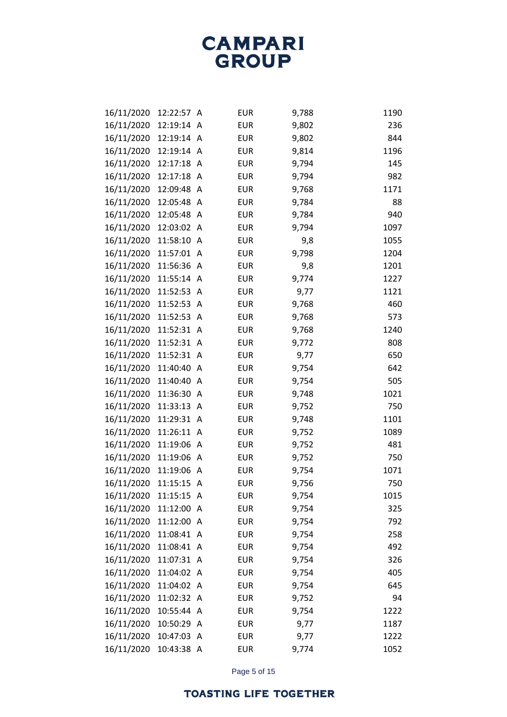| 16/11/2020 | 12:22:57   | A              | <b>EUR</b> | 9,788 | 1190 |
|------------|------------|----------------|------------|-------|------|
| 16/11/2020 | 12:19:14   | A              | <b>EUR</b> | 9,802 | 236  |
| 16/11/2020 | 12:19:14   | $\mathsf{A}$   | <b>EUR</b> | 9,802 | 844  |
| 16/11/2020 | 12:19:14   | A              | <b>EUR</b> | 9,814 | 1196 |
| 16/11/2020 | 12:17:18   | A              | <b>EUR</b> | 9,794 | 145  |
| 16/11/2020 | 12:17:18   | A              | <b>EUR</b> | 9,794 | 982  |
| 16/11/2020 | 12:09:48   | A              | <b>EUR</b> | 9,768 | 1171 |
| 16/11/2020 | 12:05:48 A |                | <b>EUR</b> | 9,784 | 88   |
| 16/11/2020 | 12:05:48   | A              | <b>EUR</b> | 9,784 | 940  |
| 16/11/2020 | 12:03:02   | $\overline{A}$ | <b>EUR</b> | 9,794 | 1097 |
| 16/11/2020 | 11:58:10   | A              | <b>EUR</b> | 9,8   | 1055 |
| 16/11/2020 | 11:57:01   | A              | <b>EUR</b> | 9,798 | 1204 |
| 16/11/2020 | 11:56:36   | $\mathsf{A}$   | <b>EUR</b> | 9,8   | 1201 |
| 16/11/2020 | 11:55:14   | $\mathsf{A}$   | <b>EUR</b> | 9,774 | 1227 |
| 16/11/2020 | 11:52:53   | A              | <b>EUR</b> | 9,77  | 1121 |
| 16/11/2020 | 11:52:53   | $\mathsf{A}$   | <b>EUR</b> | 9,768 | 460  |
| 16/11/2020 | 11:52:53   | A              | <b>EUR</b> | 9,768 | 573  |
| 16/11/2020 | 11:52:31   | A              | <b>EUR</b> | 9,768 | 1240 |
| 16/11/2020 | 11:52:31   | $\mathsf{A}$   | <b>EUR</b> | 9,772 | 808  |
| 16/11/2020 | 11:52:31   | A              | <b>EUR</b> | 9,77  | 650  |
| 16/11/2020 | 11:40:40   | A              | <b>EUR</b> | 9,754 | 642  |
| 16/11/2020 | 11:40:40   | A              | <b>EUR</b> | 9,754 | 505  |
| 16/11/2020 | 11:36:30   | A              | <b>EUR</b> | 9,748 | 1021 |
| 16/11/2020 | 11:33:13   | $\mathsf{A}$   | <b>EUR</b> | 9,752 | 750  |
| 16/11/2020 | 11:29:31   | $\mathsf{A}$   | <b>EUR</b> | 9,748 | 1101 |
| 16/11/2020 | 11:26:11   | A              | <b>EUR</b> | 9,752 | 1089 |
| 16/11/2020 | 11:19:06   | $\mathsf{A}$   | <b>EUR</b> | 9,752 | 481  |
| 16/11/2020 | 11:19:06   | A              | <b>EUR</b> | 9,752 | 750  |
| 16/11/2020 | 11:19:06   | A              | <b>EUR</b> | 9,754 | 1071 |
| 16/11/2020 | 11:15:15   | A              | <b>EUR</b> | 9,756 | 750  |
| 16/11/2020 | 11:15:15 A |                | <b>EUR</b> | 9,754 | 1015 |
| 16/11/2020 | 11:12:00   | A              | <b>EUR</b> | 9,754 | 325  |
| 16/11/2020 | 11:12:00 A |                | <b>EUR</b> | 9,754 | 792  |
| 16/11/2020 | 11:08:41 A |                | <b>EUR</b> | 9,754 | 258  |
| 16/11/2020 | 11:08:41   | A              | <b>EUR</b> | 9,754 | 492  |
| 16/11/2020 | 11:07:31 A |                | <b>EUR</b> | 9,754 | 326  |
| 16/11/2020 | 11:04:02   | - A            | <b>EUR</b> | 9,754 | 405  |
| 16/11/2020 | 11:04:02 A |                | <b>EUR</b> | 9,754 | 645  |
| 16/11/2020 | 11:02:32 A |                | <b>EUR</b> | 9,752 | 94   |
| 16/11/2020 | 10:55:44   | A              | <b>EUR</b> | 9,754 | 1222 |
| 16/11/2020 | 10:50:29 A |                | <b>EUR</b> | 9,77  | 1187 |
| 16/11/2020 | 10:47:03   | A              | <b>EUR</b> | 9,77  | 1222 |
| 16/11/2020 | 10:43:38 A |                | <b>EUR</b> | 9,774 | 1052 |

Page 5 of 15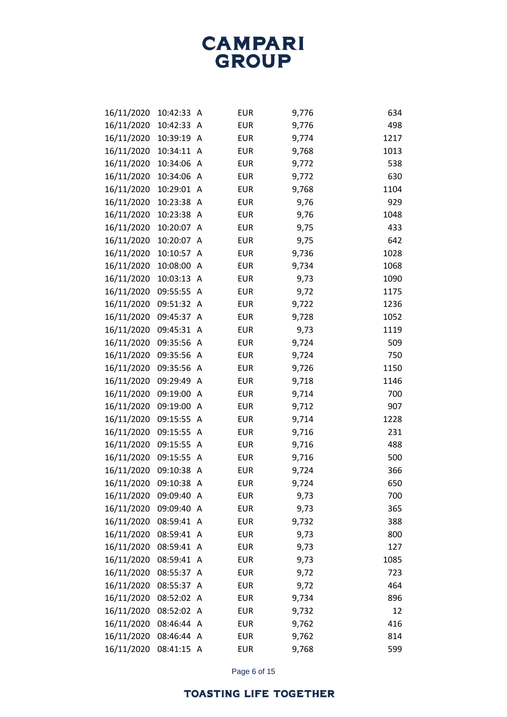| 16/11/2020 | 10:42:33   | A | <b>EUR</b> | 9,776 | 634  |
|------------|------------|---|------------|-------|------|
| 16/11/2020 | 10:42:33   | Α | <b>EUR</b> | 9,776 | 498  |
| 16/11/2020 | 10:39:19   | A | <b>EUR</b> | 9,774 | 1217 |
| 16/11/2020 | 10:34:11   | A | <b>EUR</b> | 9,768 | 1013 |
| 16/11/2020 | 10:34:06   | A | <b>EUR</b> | 9,772 | 538  |
| 16/11/2020 | 10:34:06   | A | <b>EUR</b> | 9,772 | 630  |
| 16/11/2020 | 10:29:01   | Α | <b>EUR</b> | 9,768 | 1104 |
| 16/11/2020 | 10:23:38   | A | <b>EUR</b> | 9,76  | 929  |
| 16/11/2020 | 10:23:38   | A | <b>EUR</b> | 9,76  | 1048 |
| 16/11/2020 | 10:20:07   | A | <b>EUR</b> | 9,75  | 433  |
| 16/11/2020 | 10:20:07   | Α | <b>EUR</b> | 9,75  | 642  |
| 16/11/2020 | 10:10:57   | A | <b>EUR</b> | 9,736 | 1028 |
| 16/11/2020 | 10:08:00   | A | <b>EUR</b> | 9,734 | 1068 |
| 16/11/2020 | 10:03:13   | A | <b>EUR</b> | 9,73  | 1090 |
| 16/11/2020 | 09:55:55   | A | <b>EUR</b> | 9,72  | 1175 |
| 16/11/2020 | 09:51:32   | A | <b>EUR</b> | 9,722 | 1236 |
| 16/11/2020 | 09:45:37   | A | <b>EUR</b> | 9,728 | 1052 |
| 16/11/2020 | 09:45:31   | A | <b>EUR</b> | 9,73  | 1119 |
| 16/11/2020 | 09:35:56   | A | <b>EUR</b> | 9,724 | 509  |
| 16/11/2020 | 09:35:56   | A | <b>EUR</b> | 9,724 | 750  |
| 16/11/2020 | 09:35:56   | A | <b>EUR</b> | 9,726 | 1150 |
| 16/11/2020 | 09:29:49   | A | <b>EUR</b> | 9,718 | 1146 |
| 16/11/2020 | 09:19:00   | Α | <b>EUR</b> | 9,714 | 700  |
| 16/11/2020 | 09:19:00   | Α | <b>EUR</b> | 9,712 | 907  |
| 16/11/2020 | 09:15:55   | A | <b>EUR</b> | 9,714 | 1228 |
| 16/11/2020 | 09:15:55   | Α | <b>EUR</b> | 9,716 | 231  |
| 16/11/2020 | 09:15:55   | A | <b>EUR</b> | 9,716 | 488  |
| 16/11/2020 | 09:15:55   | Α | <b>EUR</b> | 9,716 | 500  |
| 16/11/2020 | 09:10:38   | Α | <b>EUR</b> | 9,724 | 366  |
| 16/11/2020 | 09:10:38   | Α | <b>EUR</b> | 9,724 | 650  |
| 16/11/2020 | 09:09:40   | A | <b>EUR</b> | 9,73  | 700  |
| 16/11/2020 | 09:09:40   | A | <b>EUR</b> | 9,73  | 365  |
| 16/11/2020 | 08:59:41   | Α | <b>EUR</b> | 9,732 | 388  |
| 16/11/2020 | 08:59:41   | A | <b>EUR</b> | 9,73  | 800  |
| 16/11/2020 | 08:59:41   | A | <b>EUR</b> | 9,73  | 127  |
| 16/11/2020 | 08:59:41   | A | <b>EUR</b> | 9,73  | 1085 |
| 16/11/2020 | 08:55:37   | Α | <b>EUR</b> | 9,72  | 723  |
| 16/11/2020 | 08:55:37   | A | <b>EUR</b> | 9,72  | 464  |
| 16/11/2020 | 08:52:02   | Α | <b>EUR</b> | 9,734 | 896  |
| 16/11/2020 | 08:52:02   | A | <b>EUR</b> | 9,732 | 12   |
| 16/11/2020 | 08:46:44   | A | <b>EUR</b> | 9,762 | 416  |
| 16/11/2020 | 08:46:44   | A | <b>EUR</b> | 9,762 | 814  |
| 16/11/2020 | 08:41:15 A |   | <b>EUR</b> | 9,768 | 599  |

Page 6 of 15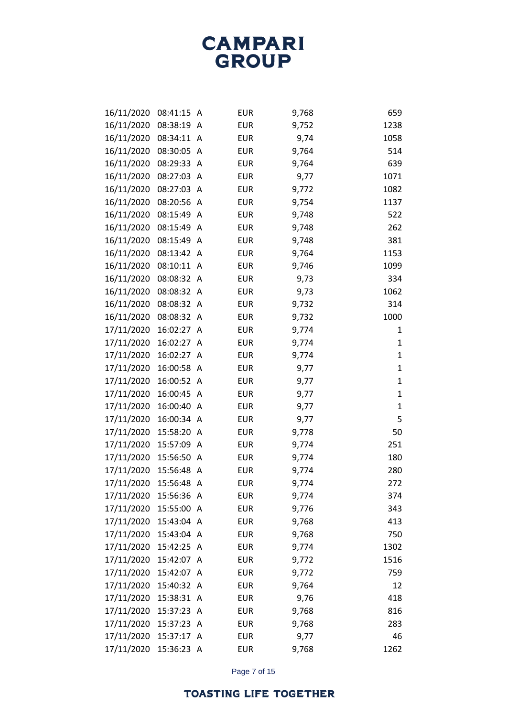| 16/11/2020 | 08:41:15   | A | <b>EUR</b> | 9,768 | 659          |
|------------|------------|---|------------|-------|--------------|
| 16/11/2020 | 08:38:19   | A | <b>EUR</b> | 9,752 | 1238         |
| 16/11/2020 | 08:34:11   | A | <b>EUR</b> | 9,74  | 1058         |
| 16/11/2020 | 08:30:05   | Α | <b>EUR</b> | 9,764 | 514          |
| 16/11/2020 | 08:29:33   | Α | <b>EUR</b> | 9,764 | 639          |
| 16/11/2020 | 08:27:03   | A | <b>EUR</b> | 9,77  | 1071         |
| 16/11/2020 | 08:27:03   | A | <b>EUR</b> | 9,772 | 1082         |
| 16/11/2020 | 08:20:56   | A | <b>EUR</b> | 9,754 | 1137         |
| 16/11/2020 | 08:15:49   | A | <b>EUR</b> | 9,748 | 522          |
| 16/11/2020 | 08:15:49   | A | <b>EUR</b> | 9,748 | 262          |
| 16/11/2020 | 08:15:49   | A | <b>EUR</b> | 9,748 | 381          |
| 16/11/2020 | 08:13:42   | A | <b>EUR</b> | 9,764 | 1153         |
| 16/11/2020 | 08:10:11   | A | <b>EUR</b> | 9,746 | 1099         |
| 16/11/2020 | 08:08:32   | A | <b>EUR</b> | 9,73  | 334          |
| 16/11/2020 | 08:08:32   | A | <b>EUR</b> | 9,73  | 1062         |
| 16/11/2020 | 08:08:32 A |   | <b>EUR</b> | 9,732 | 314          |
| 16/11/2020 | 08:08:32   | A | <b>EUR</b> | 9,732 | 1000         |
| 17/11/2020 | 16:02:27   | A | <b>EUR</b> | 9,774 | 1            |
| 17/11/2020 | 16:02:27   | A | <b>EUR</b> | 9,774 | 1            |
| 17/11/2020 | 16:02:27   | A | <b>EUR</b> | 9,774 | 1            |
| 17/11/2020 | 16:00:58   | A | <b>EUR</b> | 9,77  | 1            |
| 17/11/2020 | 16:00:52   | A | <b>EUR</b> | 9,77  | $\mathbf{1}$ |
| 17/11/2020 | 16:00:45   | A | <b>EUR</b> | 9,77  | $\mathbf{1}$ |
| 17/11/2020 | 16:00:40   | A | <b>EUR</b> | 9,77  | $\mathbf{1}$ |
| 17/11/2020 | 16:00:34   | A | <b>EUR</b> | 9,77  | 5            |
| 17/11/2020 | 15:58:20   | A | <b>EUR</b> | 9,778 | 50           |
| 17/11/2020 | 15:57:09   | A | <b>EUR</b> | 9,774 | 251          |
| 17/11/2020 | 15:56:50   | A | <b>EUR</b> | 9,774 | 180          |
| 17/11/2020 | 15:56:48   | A | <b>EUR</b> | 9,774 | 280          |
| 17/11/2020 | 15:56:48   | A | <b>EUR</b> | 9,774 | 272          |
| 17/11/2020 | 15:56:36 A |   | <b>EUR</b> | 9,774 | 374          |
| 17/11/2020 | 15:55:00   | A | <b>EUR</b> | 9,776 | 343          |
| 17/11/2020 | 15:43:04 A |   | EUR        | 9,768 | 413          |
| 17/11/2020 | 15:43:04 A |   | <b>EUR</b> | 9,768 | 750          |
| 17/11/2020 | 15:42:25   | A | EUR        | 9,774 | 1302         |
| 17/11/2020 | 15:42:07   | A | <b>EUR</b> | 9,772 | 1516         |
| 17/11/2020 | 15:42:07   | A | <b>EUR</b> | 9,772 | 759          |
| 17/11/2020 | 15:40:32 A |   | <b>EUR</b> | 9,764 | 12           |
| 17/11/2020 | 15:38:31   | A | <b>EUR</b> | 9,76  | 418          |
| 17/11/2020 | 15:37:23   | A | <b>EUR</b> | 9,768 | 816          |
| 17/11/2020 | 15:37:23   | A | <b>EUR</b> | 9,768 | 283          |
| 17/11/2020 | 15:37:17   | Α | <b>EUR</b> | 9,77  | 46           |
| 17/11/2020 | 15:36:23 A |   | EUR        | 9,768 | 1262         |

Page 7 of 15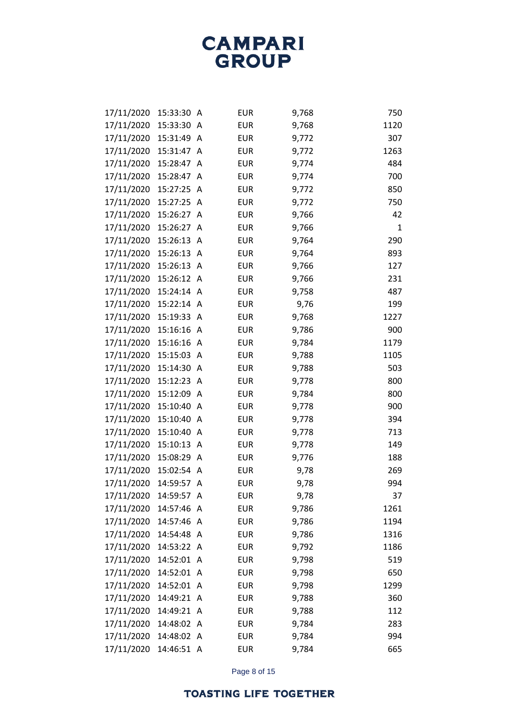| 17/11/2020 | 15:33:30   | A | <b>EUR</b> | 9,768 | 750  |
|------------|------------|---|------------|-------|------|
| 17/11/2020 | 15:33:30   | Α | <b>EUR</b> | 9,768 | 1120 |
| 17/11/2020 | 15:31:49   | A | <b>EUR</b> | 9,772 | 307  |
| 17/11/2020 | 15:31:47   | Α | <b>EUR</b> | 9,772 | 1263 |
| 17/11/2020 | 15:28:47   | A | <b>EUR</b> | 9,774 | 484  |
| 17/11/2020 | 15:28:47   | A | <b>EUR</b> | 9,774 | 700  |
| 17/11/2020 | 15:27:25   | A | <b>EUR</b> | 9,772 | 850  |
| 17/11/2020 | 15:27:25   | A | <b>EUR</b> | 9,772 | 750  |
| 17/11/2020 | 15:26:27   | A | <b>EUR</b> | 9,766 | 42   |
| 17/11/2020 | 15:26:27   | A | <b>EUR</b> | 9,766 | 1    |
| 17/11/2020 | 15:26:13   | A | <b>EUR</b> | 9,764 | 290  |
| 17/11/2020 | 15:26:13   | A | <b>EUR</b> | 9,764 | 893  |
| 17/11/2020 | 15:26:13   | A | <b>EUR</b> | 9,766 | 127  |
| 17/11/2020 | 15:26:12 A |   | <b>EUR</b> | 9,766 | 231  |
| 17/11/2020 | 15:24:14 A |   | <b>EUR</b> | 9,758 | 487  |
| 17/11/2020 | 15:22:14 A |   | <b>EUR</b> | 9,76  | 199  |
| 17/11/2020 | 15:19:33   | A | <b>EUR</b> | 9,768 | 1227 |
| 17/11/2020 | 15:16:16   | A | <b>EUR</b> | 9,786 | 900  |
| 17/11/2020 | 15:16:16   | A | <b>EUR</b> | 9,784 | 1179 |
| 17/11/2020 | 15:15:03   | A | <b>EUR</b> | 9,788 | 1105 |
| 17/11/2020 | 15:14:30   | A | <b>EUR</b> | 9,788 | 503  |
| 17/11/2020 | 15:12:23   | A | <b>EUR</b> | 9,778 | 800  |
| 17/11/2020 | 15:12:09   | A | <b>EUR</b> | 9,784 | 800  |
| 17/11/2020 | 15:10:40   | A | <b>EUR</b> | 9,778 | 900  |
| 17/11/2020 | 15:10:40   | A | <b>EUR</b> | 9,778 | 394  |
| 17/11/2020 | 15:10:40   | A | <b>EUR</b> | 9,778 | 713  |
| 17/11/2020 | 15:10:13   | Α | <b>EUR</b> | 9,778 | 149  |
| 17/11/2020 | 15:08:29   | A | <b>EUR</b> | 9,776 | 188  |
| 17/11/2020 | 15:02:54   | A | <b>EUR</b> | 9,78  | 269  |
| 17/11/2020 | 14:59:57   | Α | <b>EUR</b> | 9,78  | 994  |
| 17/11/2020 | 14:59:57   | A | <b>EUR</b> | 9,78  | 37   |
| 17/11/2020 | 14:57:46   | A | <b>EUR</b> | 9,786 | 1261 |
| 17/11/2020 | 14:57:46   | A | <b>EUR</b> | 9,786 | 1194 |
| 17/11/2020 | 14:54:48 A |   | <b>EUR</b> | 9,786 | 1316 |
| 17/11/2020 | 14:53:22 A |   | <b>EUR</b> | 9,792 | 1186 |
| 17/11/2020 | 14:52:01 A |   | <b>EUR</b> | 9,798 | 519  |
| 17/11/2020 | 14:52:01 A |   | <b>EUR</b> | 9,798 | 650  |
| 17/11/2020 | 14:52:01 A |   | <b>EUR</b> | 9,798 | 1299 |
| 17/11/2020 | 14:49:21 A |   | <b>EUR</b> | 9,788 | 360  |
| 17/11/2020 | 14:49:21 A |   | <b>EUR</b> | 9,788 | 112  |
| 17/11/2020 | 14:48:02 A |   | <b>EUR</b> | 9,784 | 283  |
| 17/11/2020 | 14:48:02 A |   | <b>EUR</b> | 9,784 | 994  |
| 17/11/2020 | 14:46:51 A |   | <b>EUR</b> | 9,784 | 665  |

Page 8 of 15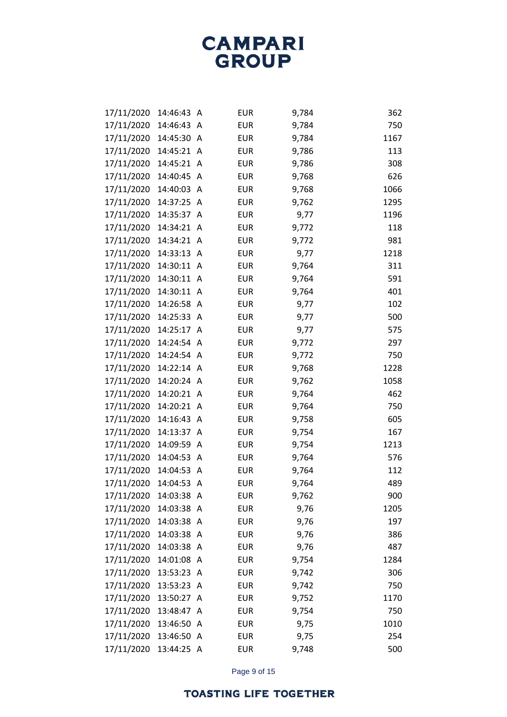| 17/11/2020 | 14:46:43   | A            | <b>EUR</b> | 9,784 | 362  |
|------------|------------|--------------|------------|-------|------|
| 17/11/2020 | 14:46:43   | A            | <b>EUR</b> | 9,784 | 750  |
| 17/11/2020 | 14:45:30   | A            | <b>EUR</b> | 9,784 | 1167 |
| 17/11/2020 | 14:45:21   | A            | <b>EUR</b> | 9,786 | 113  |
| 17/11/2020 | 14:45:21   | A            | <b>EUR</b> | 9,786 | 308  |
| 17/11/2020 | 14:40:45   | A            | <b>EUR</b> | 9,768 | 626  |
| 17/11/2020 | 14:40:03   | A            | <b>EUR</b> | 9,768 | 1066 |
| 17/11/2020 | 14:37:25   | A            | <b>EUR</b> | 9,762 | 1295 |
| 17/11/2020 | 14:35:37   | A            | <b>EUR</b> | 9,77  | 1196 |
| 17/11/2020 | 14:34:21   | A            | <b>EUR</b> | 9,772 | 118  |
| 17/11/2020 | 14:34:21   | A            | <b>EUR</b> | 9,772 | 981  |
| 17/11/2020 | 14:33:13   | A            | <b>EUR</b> | 9,77  | 1218 |
| 17/11/2020 | 14:30:11   | A            | <b>EUR</b> | 9,764 | 311  |
| 17/11/2020 | 14:30:11   | A            | <b>EUR</b> | 9,764 | 591  |
| 17/11/2020 | 14:30:11   | A            | <b>EUR</b> | 9,764 | 401  |
| 17/11/2020 | 14:26:58   | $\mathsf{A}$ | <b>EUR</b> | 9,77  | 102  |
| 17/11/2020 | 14:25:33   | A            | <b>EUR</b> | 9,77  | 500  |
| 17/11/2020 | 14:25:17   | A            | <b>EUR</b> | 9,77  | 575  |
| 17/11/2020 | 14:24:54   | A            | <b>EUR</b> | 9,772 | 297  |
| 17/11/2020 | 14:24:54   | A            | <b>EUR</b> | 9,772 | 750  |
| 17/11/2020 | 14:22:14   | A            | <b>EUR</b> | 9,768 | 1228 |
| 17/11/2020 | 14:20:24   | A            | <b>EUR</b> | 9,762 | 1058 |
| 17/11/2020 | 14:20:21   | A            | <b>EUR</b> | 9,764 | 462  |
| 17/11/2020 | 14:20:21   | A            | <b>EUR</b> | 9,764 | 750  |
| 17/11/2020 | 14:16:43   | A            | <b>EUR</b> | 9,758 | 605  |
| 17/11/2020 | 14:13:37   | A            | <b>EUR</b> | 9,754 | 167  |
| 17/11/2020 | 14:09:59   | A            | <b>EUR</b> | 9,754 | 1213 |
| 17/11/2020 | 14:04:53   | A            | <b>EUR</b> | 9,764 | 576  |
| 17/11/2020 | 14:04:53   | A            | <b>EUR</b> | 9,764 | 112  |
| 17/11/2020 | 14:04:53   | Α            | <b>EUR</b> | 9,764 | 489  |
| 17/11/2020 | 14:03:38 A |              | <b>EUR</b> | 9,762 | 900  |
| 17/11/2020 | 14:03:38   | A            | <b>EUR</b> | 9,76  | 1205 |
| 17/11/2020 | 14:03:38   | A            | <b>EUR</b> | 9,76  | 197  |
| 17/11/2020 | 14:03:38 A |              | <b>EUR</b> | 9,76  | 386  |
| 17/11/2020 | 14:03:38   | A            | <b>EUR</b> | 9,76  | 487  |
| 17/11/2020 | 14:01:08   | $\mathsf{A}$ | <b>EUR</b> | 9,754 | 1284 |
| 17/11/2020 | 13:53:23   | A            | <b>EUR</b> | 9,742 | 306  |
| 17/11/2020 | 13:53:23   | A            | <b>EUR</b> | 9,742 | 750  |
| 17/11/2020 | 13:50:27   | A            | <b>EUR</b> | 9,752 | 1170 |
| 17/11/2020 | 13:48:47   | A            | <b>EUR</b> | 9,754 | 750  |
| 17/11/2020 | 13:46:50   | A            | <b>EUR</b> | 9,75  | 1010 |
| 17/11/2020 | 13:46:50   | A            | <b>EUR</b> | 9,75  | 254  |
| 17/11/2020 | 13:44:25 A |              | <b>EUR</b> | 9,748 | 500  |

Page 9 of 15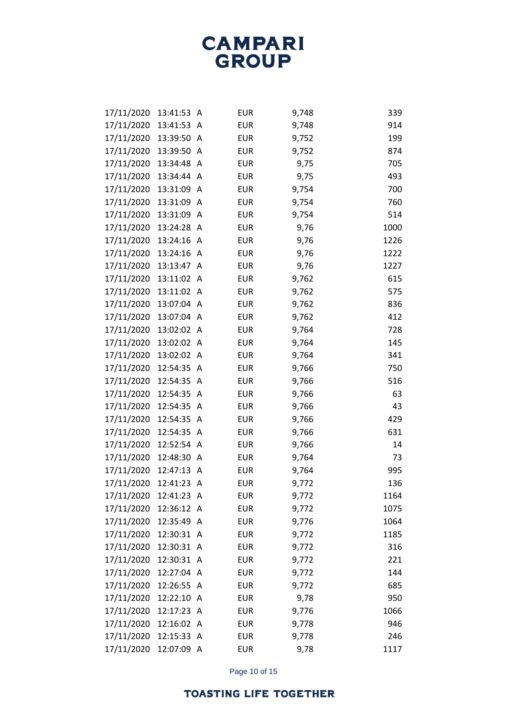| 17/11/2020 | 13:41:53   | A | <b>EUR</b> | 9,748 | 339  |
|------------|------------|---|------------|-------|------|
| 17/11/2020 | 13:41:53   | Α | <b>EUR</b> | 9,748 | 914  |
| 17/11/2020 | 13:39:50   | A | <b>EUR</b> | 9,752 | 199  |
| 17/11/2020 | 13:39:50   | A | <b>EUR</b> | 9,752 | 874  |
| 17/11/2020 | 13:34:48   | A | <b>EUR</b> | 9,75  | 705  |
| 17/11/2020 | 13:34:44   | A | <b>EUR</b> | 9,75  | 493  |
| 17/11/2020 | 13:31:09   | A | <b>EUR</b> | 9,754 | 700  |
| 17/11/2020 | 13:31:09   | A | <b>EUR</b> | 9,754 | 760  |
| 17/11/2020 | 13:31:09   | A | <b>EUR</b> | 9,754 | 514  |
| 17/11/2020 | 13:24:28   | A | <b>EUR</b> | 9,76  | 1000 |
| 17/11/2020 | 13:24:16   | A | <b>EUR</b> | 9,76  | 1226 |
| 17/11/2020 | 13:24:16   | A | <b>EUR</b> | 9,76  | 1222 |
| 17/11/2020 | 13:13:47   | A | <b>EUR</b> | 9,76  | 1227 |
| 17/11/2020 | 13:11:02   | A | <b>EUR</b> | 9,762 | 615  |
| 17/11/2020 | 13:11:02   | A | <b>EUR</b> | 9,762 | 575  |
| 17/11/2020 | 13:07:04   | A | <b>EUR</b> | 9,762 | 836  |
| 17/11/2020 | 13:07:04   | A | <b>EUR</b> | 9,762 | 412  |
| 17/11/2020 | 13:02:02   | A | <b>EUR</b> | 9,764 | 728  |
| 17/11/2020 | 13:02:02   | A | <b>EUR</b> | 9,764 | 145  |
| 17/11/2020 | 13:02:02   | A | <b>EUR</b> | 9,764 | 341  |
| 17/11/2020 | 12:54:35   | A | <b>EUR</b> | 9,766 | 750  |
| 17/11/2020 | 12:54:35   | Α | <b>EUR</b> | 9,766 | 516  |
| 17/11/2020 | 12:54:35   | A | <b>EUR</b> | 9,766 | 63   |
| 17/11/2020 | 12:54:35   | Α | <b>EUR</b> | 9,766 | 43   |
| 17/11/2020 | 12:54:35   | A | <b>EUR</b> | 9,766 | 429  |
| 17/11/2020 | 12:54:35   | A | <b>EUR</b> | 9,766 | 631  |
| 17/11/2020 | 12:52:54   | A | <b>EUR</b> | 9,766 | 14   |
| 17/11/2020 | 12:48:30   | A | <b>EUR</b> | 9,764 | 73   |
| 17/11/2020 | 12:47:13   | A | <b>EUR</b> | 9,764 | 995  |
| 17/11/2020 | 12:41:23   | Α | <b>EUR</b> | 9,772 | 136  |
| 17/11/2020 | 12:41:23 A |   | <b>EUR</b> | 9,772 | 1164 |
| 17/11/2020 | 12:36:12 A |   | <b>EUR</b> | 9,772 | 1075 |
| 17/11/2020 | 12:35:49   | A | <b>EUR</b> | 9,776 | 1064 |
| 17/11/2020 | 12:30:31 A |   | <b>EUR</b> | 9,772 | 1185 |
| 17/11/2020 | 12:30:31   | A | <b>EUR</b> | 9,772 | 316  |
| 17/11/2020 | 12:30:31 A |   | <b>EUR</b> | 9,772 | 221  |
| 17/11/2020 | 12:27:04 A |   | <b>EUR</b> | 9,772 | 144  |
| 17/11/2020 | 12:26:55 A |   | <b>EUR</b> | 9,772 | 685  |
| 17/11/2020 | 12:22:10   | A | <b>EUR</b> | 9,78  | 950  |
| 17/11/2020 | 12:17:23 A |   | <b>EUR</b> | 9,776 | 1066 |
| 17/11/2020 | 12:16:02 A |   | <b>EUR</b> | 9,778 | 946  |
| 17/11/2020 | 12:15:33   | A | <b>EUR</b> | 9,778 | 246  |
| 17/11/2020 | 12:07:09 A |   | <b>EUR</b> | 9,78  | 1117 |

Page 10 of 15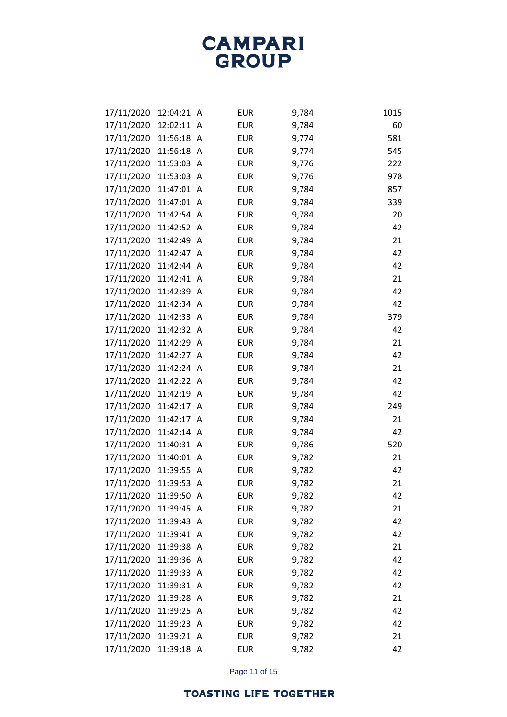| 17/11/2020 | 12:04:21   | A | <b>EUR</b> | 9,784 | 1015 |
|------------|------------|---|------------|-------|------|
| 17/11/2020 | 12:02:11 A |   | <b>EUR</b> | 9,784 | 60   |
| 17/11/2020 | 11:56:18 A |   | <b>EUR</b> | 9,774 | 581  |
| 17/11/2020 | 11:56:18 A |   | <b>EUR</b> | 9,774 | 545  |
| 17/11/2020 | 11:53:03 A |   | <b>EUR</b> | 9,776 | 222  |
| 17/11/2020 | 11:53:03 A |   | <b>EUR</b> | 9,776 | 978  |
| 17/11/2020 | 11:47:01 A |   | <b>EUR</b> | 9,784 | 857  |
| 17/11/2020 | 11:47:01 A |   | <b>EUR</b> | 9,784 | 339  |
| 17/11/2020 | 11:42:54 A |   | <b>EUR</b> | 9,784 | 20   |
| 17/11/2020 | 11:42:52 A |   | <b>EUR</b> | 9,784 | 42   |
| 17/11/2020 | 11:42:49 A |   | <b>EUR</b> | 9,784 | 21   |
| 17/11/2020 | 11:42:47 A |   | <b>EUR</b> | 9,784 | 42   |
| 17/11/2020 | 11:42:44 A |   | <b>EUR</b> | 9,784 | 42   |
| 17/11/2020 | 11:42:41 A |   | <b>EUR</b> | 9,784 | 21   |
| 17/11/2020 | 11:42:39 A |   | <b>EUR</b> | 9,784 | 42   |
| 17/11/2020 | 11:42:34 A |   | <b>EUR</b> | 9,784 | 42   |
| 17/11/2020 | 11:42:33 A |   | <b>EUR</b> | 9,784 | 379  |
| 17/11/2020 | 11:42:32 A |   | <b>EUR</b> | 9,784 | 42   |
| 17/11/2020 | 11:42:29 A |   | <b>EUR</b> | 9,784 | 21   |
| 17/11/2020 | 11:42:27 A |   | <b>EUR</b> | 9,784 | 42   |
| 17/11/2020 | 11:42:24 A |   | <b>EUR</b> | 9,784 | 21   |
| 17/11/2020 | 11:42:22 A |   | <b>EUR</b> | 9,784 | 42   |
| 17/11/2020 | 11:42:19 A |   | <b>EUR</b> | 9,784 | 42   |
| 17/11/2020 | 11:42:17 A |   | <b>EUR</b> | 9,784 | 249  |
| 17/11/2020 | 11:42:17 A |   | <b>EUR</b> | 9,784 | 21   |
| 17/11/2020 | 11:42:14 A |   | <b>EUR</b> | 9,784 | 42   |
| 17/11/2020 | 11:40:31 A |   | <b>EUR</b> | 9,786 | 520  |
| 17/11/2020 | 11:40:01 A |   | <b>EUR</b> | 9,782 | 21   |
| 17/11/2020 | 11:39:55   | A | <b>EUR</b> | 9,782 | 42   |
| 17/11/2020 | 11:39:53 A |   | <b>EUR</b> | 9,782 | 21   |
| 17/11/2020 | 11:39:50 A |   | <b>EUR</b> | 9,782 | 42   |
| 17/11/2020 | 11:39:45 A |   | <b>EUR</b> | 9,782 | 21   |
| 17/11/2020 | 11:39:43 A |   | <b>EUR</b> | 9,782 | 42   |
| 17/11/2020 | 11:39:41 A |   | <b>EUR</b> | 9,782 | 42   |
| 17/11/2020 | 11:39:38   | A | <b>EUR</b> | 9,782 | 21   |
| 17/11/2020 | 11:39:36 A |   | <b>EUR</b> | 9,782 | 42   |
| 17/11/2020 | 11:39:33 A |   | <b>EUR</b> | 9,782 | 42   |
| 17/11/2020 | 11:39:31 A |   | <b>EUR</b> | 9,782 | 42   |
| 17/11/2020 | 11:39:28   | A | <b>EUR</b> | 9,782 | 21   |
| 17/11/2020 | 11:39:25 A |   | <b>EUR</b> | 9,782 | 42   |
| 17/11/2020 | 11:39:23 A |   | <b>EUR</b> | 9,782 | 42   |
| 17/11/2020 | 11:39:21 A |   | <b>EUR</b> | 9,782 | 21   |
| 17/11/2020 | 11:39:18 A |   | <b>EUR</b> | 9,782 | 42   |

Page 11 of 15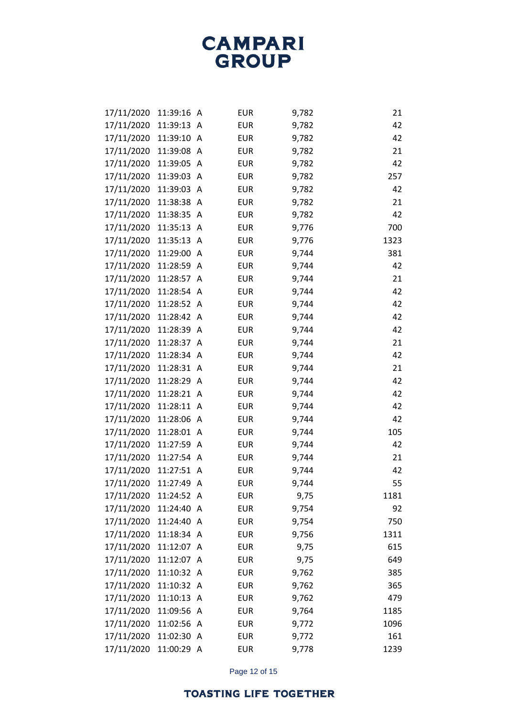| 17/11/2020 | 11:39:16 A |              | <b>EUR</b> | 9,782 | 21   |
|------------|------------|--------------|------------|-------|------|
| 17/11/2020 | 11:39:13 A |              | <b>EUR</b> | 9,782 | 42   |
| 17/11/2020 | 11:39:10   | A            | <b>EUR</b> | 9,782 | 42   |
| 17/11/2020 | 11:39:08 A |              | <b>EUR</b> | 9,782 | 21   |
| 17/11/2020 | 11:39:05   | A            | <b>EUR</b> | 9,782 | 42   |
| 17/11/2020 | 11:39:03 A |              | <b>EUR</b> | 9,782 | 257  |
| 17/11/2020 | 11:39:03   | A            | <b>EUR</b> | 9,782 | 42   |
| 17/11/2020 | 11:38:38   | A            | <b>EUR</b> | 9,782 | 21   |
| 17/11/2020 | 11:38:35   | A            | <b>EUR</b> | 9,782 | 42   |
| 17/11/2020 | 11:35:13 A |              | <b>EUR</b> | 9,776 | 700  |
| 17/11/2020 | 11:35:13   | A            | <b>EUR</b> | 9,776 | 1323 |
| 17/11/2020 | 11:29:00   | A            | <b>EUR</b> | 9,744 | 381  |
| 17/11/2020 | 11:28:59   | A            | <b>EUR</b> | 9,744 | 42   |
| 17/11/2020 | 11:28:57 A |              | <b>EUR</b> | 9,744 | 21   |
| 17/11/2020 | 11:28:54   | A            | <b>EUR</b> | 9,744 | 42   |
| 17/11/2020 | 11:28:52 A |              | <b>EUR</b> | 9,744 | 42   |
| 17/11/2020 | 11:28:42   | A            | <b>EUR</b> | 9,744 | 42   |
| 17/11/2020 | 11:28:39   | $\mathsf{A}$ | <b>EUR</b> | 9,744 | 42   |
| 17/11/2020 | 11:28:37   | A            | <b>EUR</b> | 9,744 | 21   |
| 17/11/2020 | 11:28:34 A |              | <b>EUR</b> | 9,744 | 42   |
| 17/11/2020 | 11:28:31   | A            | <b>EUR</b> | 9,744 | 21   |
| 17/11/2020 | 11:28:29   | $\mathsf{A}$ | <b>EUR</b> | 9,744 | 42   |
| 17/11/2020 | 11:28:21   | A            | <b>EUR</b> | 9,744 | 42   |
| 17/11/2020 | 11:28:11   | $\mathsf{A}$ | <b>EUR</b> | 9,744 | 42   |
| 17/11/2020 | 11:28:06   | A            | <b>EUR</b> | 9,744 | 42   |
| 17/11/2020 | 11:28:01 A |              | <b>EUR</b> | 9,744 | 105  |
| 17/11/2020 | 11:27:59   | A            | <b>EUR</b> | 9,744 | 42   |
| 17/11/2020 | 11:27:54 A |              | <b>EUR</b> | 9,744 | 21   |
| 17/11/2020 | 11:27:51   | A            | <b>EUR</b> | 9,744 | 42   |
| 17/11/2020 | 11:27:49   | A            | <b>EUR</b> | 9,744 | 55   |
| 17/11/2020 | 11:24:52 A |              | <b>EUR</b> | 9,75  | 1181 |
| 17/11/2020 | 11:24:40   | A            | <b>EUR</b> | 9,754 | 92   |
| 17/11/2020 | 11:24:40   | A            | <b>EUR</b> | 9,754 | 750  |
| 17/11/2020 | 11:18:34 A |              | <b>EUR</b> | 9,756 | 1311 |
| 17/11/2020 | 11:12:07   | A            | <b>EUR</b> | 9,75  | 615  |
| 17/11/2020 | 11:12:07 A |              | <b>EUR</b> | 9,75  | 649  |
| 17/11/2020 | 11:10:32 A |              | <b>EUR</b> | 9,762 | 385  |
| 17/11/2020 | 11:10:32 A |              | <b>EUR</b> | 9,762 | 365  |
| 17/11/2020 | 11:10:13 A |              | <b>EUR</b> | 9,762 | 479  |
| 17/11/2020 | 11:09:56 A |              | <b>EUR</b> | 9,764 | 1185 |
| 17/11/2020 | 11:02:56   | A            | <b>EUR</b> | 9,772 | 1096 |
| 17/11/2020 | 11:02:30   | A            | <b>EUR</b> | 9,772 | 161  |
| 17/11/2020 | 11:00:29 A |              | <b>EUR</b> | 9,778 | 1239 |

Page 12 of 15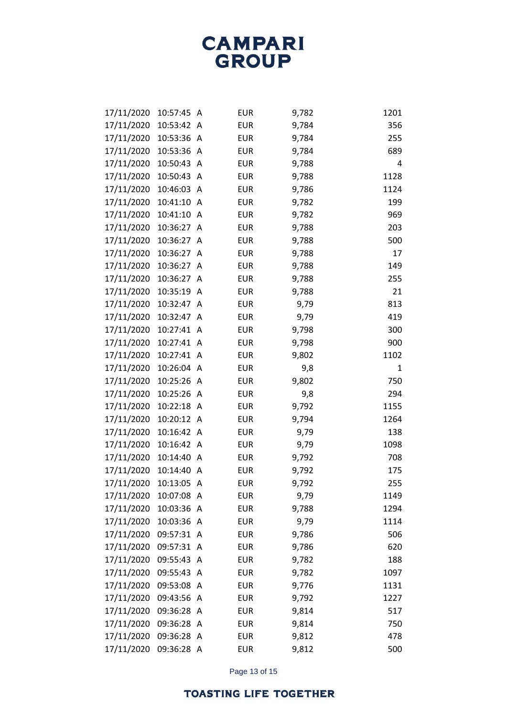| 17/11/2020 | 10:57:45   | A            | <b>EUR</b> | 9,782 | 1201 |
|------------|------------|--------------|------------|-------|------|
| 17/11/2020 | 10:53:42 A |              | <b>EUR</b> | 9,784 | 356  |
| 17/11/2020 | 10:53:36   | A            | <b>EUR</b> | 9,784 | 255  |
| 17/11/2020 | 10:53:36   | A            | <b>EUR</b> | 9,784 | 689  |
| 17/11/2020 | 10:50:43   | A            | <b>EUR</b> | 9,788 | 4    |
| 17/11/2020 | 10:50:43   | A            | <b>EUR</b> | 9,788 | 1128 |
| 17/11/2020 | 10:46:03   | A            | <b>EUR</b> | 9,786 | 1124 |
| 17/11/2020 | 10:41:10   | $\mathsf{A}$ | <b>EUR</b> | 9,782 | 199  |
| 17/11/2020 | 10:41:10   | A            | <b>EUR</b> | 9,782 | 969  |
| 17/11/2020 | 10:36:27   | A            | <b>EUR</b> | 9,788 | 203  |
| 17/11/2020 | 10:36:27   | A            | <b>EUR</b> | 9,788 | 500  |
| 17/11/2020 | 10:36:27   | $\mathsf{A}$ | <b>EUR</b> | 9,788 | 17   |
| 17/11/2020 | 10:36:27   | Α            | <b>EUR</b> | 9,788 | 149  |
| 17/11/2020 | 10:36:27   | A            | <b>EUR</b> | 9,788 | 255  |
| 17/11/2020 | 10:35:19   | A            | <b>EUR</b> | 9,788 | 21   |
| 17/11/2020 | 10:32:47   | A            | <b>EUR</b> | 9,79  | 813  |
| 17/11/2020 | 10:32:47   | A            | <b>EUR</b> | 9,79  | 419  |
| 17/11/2020 | 10:27:41   | A            | <b>EUR</b> | 9,798 | 300  |
| 17/11/2020 | 10:27:41   | A            | <b>EUR</b> | 9,798 | 900  |
| 17/11/2020 | 10:27:41   | $\mathsf{A}$ | <b>EUR</b> | 9,802 | 1102 |
| 17/11/2020 | 10:26:04   | A            | <b>EUR</b> | 9,8   | 1    |
| 17/11/2020 | 10:25:26 A |              | <b>EUR</b> | 9,802 | 750  |
| 17/11/2020 | 10:25:26   | A            | <b>EUR</b> | 9,8   | 294  |
| 17/11/2020 | 10:22:18 A |              | <b>EUR</b> | 9,792 | 1155 |
| 17/11/2020 | 10:20:12   | A            | <b>EUR</b> | 9,794 | 1264 |
| 17/11/2020 | 10:16:42 A |              | <b>EUR</b> | 9,79  | 138  |
| 17/11/2020 | 10:16:42   | A            | <b>EUR</b> | 9,79  | 1098 |
| 17/11/2020 | 10:14:40   | A            | <b>EUR</b> | 9,792 | 708  |
| 17/11/2020 | 10:14:40   | A            | <b>EUR</b> | 9,792 | 175  |
| 17/11/2020 | 10:13:05   | A            | <b>EUR</b> | 9,792 | 255  |
| 17/11/2020 | 10:07:08 A |              | <b>EUR</b> | 9,79  | 1149 |
| 17/11/2020 | 10:03:36 A |              | <b>EUR</b> | 9,788 | 1294 |
| 17/11/2020 | 10:03:36 A |              | <b>EUR</b> | 9,79  | 1114 |
| 17/11/2020 | 09:57:31 A |              | <b>EUR</b> | 9,786 | 506  |
| 17/11/2020 | 09:57:31   | A            | <b>EUR</b> | 9,786 | 620  |
| 17/11/2020 | 09:55:43   | A            | <b>EUR</b> | 9,782 | 188  |
| 17/11/2020 | 09:55:43   | A            | <b>EUR</b> | 9,782 | 1097 |
| 17/11/2020 | 09:53:08 A |              | <b>EUR</b> | 9,776 | 1131 |
| 17/11/2020 | 09:43:56   | A            | <b>EUR</b> | 9,792 | 1227 |
| 17/11/2020 | 09:36:28   | A            | <b>EUR</b> | 9,814 | 517  |
| 17/11/2020 | 09:36:28   | A            | <b>EUR</b> | 9,814 | 750  |
| 17/11/2020 | 09:36:28   | A            | <b>EUR</b> | 9,812 | 478  |
| 17/11/2020 | 09:36:28 A |              | <b>EUR</b> | 9,812 | 500  |

Page 13 of 15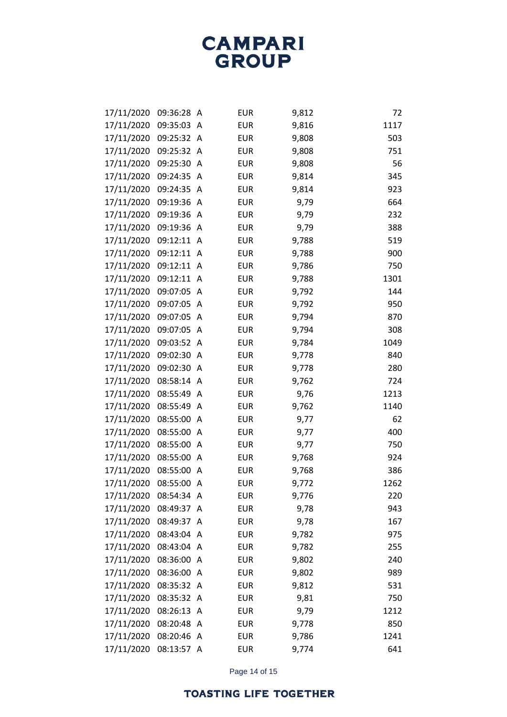| 17/11/2020 | 09:36:28   | A              | <b>EUR</b> | 9,812 | 72   |
|------------|------------|----------------|------------|-------|------|
| 17/11/2020 | 09:35:03   | A              | <b>EUR</b> | 9,816 | 1117 |
| 17/11/2020 | 09:25:32   | A              | <b>EUR</b> | 9,808 | 503  |
| 17/11/2020 | 09:25:32 A |                | <b>EUR</b> | 9,808 | 751  |
| 17/11/2020 | 09:25:30   | A              | <b>EUR</b> | 9,808 | 56   |
| 17/11/2020 | 09:24:35   | A              | <b>EUR</b> | 9,814 | 345  |
| 17/11/2020 | 09:24:35   | A              | <b>EUR</b> | 9,814 | 923  |
| 17/11/2020 | 09:19:36   | $\mathsf{A}$   | <b>EUR</b> | 9,79  | 664  |
| 17/11/2020 | 09:19:36   | $\mathsf{A}$   | <b>EUR</b> | 9,79  | 232  |
| 17/11/2020 | 09:19:36   | $\mathsf{A}$   | <b>EUR</b> | 9,79  | 388  |
| 17/11/2020 | 09:12:11   | $\overline{A}$ | <b>EUR</b> | 9,788 | 519  |
| 17/11/2020 | 09:12:11   | $\mathsf{A}$   | <b>EUR</b> | 9,788 | 900  |
| 17/11/2020 | 09:12:11   | $\mathsf{A}$   | <b>EUR</b> | 9,786 | 750  |
| 17/11/2020 | 09:12:11   | A              | <b>EUR</b> | 9,788 | 1301 |
| 17/11/2020 | 09:07:05   | A              | <b>EUR</b> | 9,792 | 144  |
| 17/11/2020 | 09:07:05   | A              | <b>EUR</b> | 9,792 | 950  |
| 17/11/2020 | 09:07:05   | A              | <b>EUR</b> | 9,794 | 870  |
| 17/11/2020 | 09:07:05   | A              | <b>EUR</b> | 9,794 | 308  |
| 17/11/2020 | 09:03:52   | A              | <b>EUR</b> | 9,784 | 1049 |
| 17/11/2020 | 09:02:30   | A              | <b>EUR</b> | 9,778 | 840  |
| 17/11/2020 | 09:02:30   | A              | <b>EUR</b> | 9,778 | 280  |
| 17/11/2020 | 08:58:14   | $\mathsf{A}$   | <b>EUR</b> | 9,762 | 724  |
| 17/11/2020 | 08:55:49   | A              | <b>EUR</b> | 9,76  | 1213 |
| 17/11/2020 | 08:55:49   | A              | <b>EUR</b> | 9,762 | 1140 |
| 17/11/2020 | 08:55:00   | A              | <b>EUR</b> | 9,77  | 62   |
| 17/11/2020 | 08:55:00   | A              | <b>EUR</b> | 9,77  | 400  |
| 17/11/2020 | 08:55:00   | A              | <b>EUR</b> | 9,77  | 750  |
| 17/11/2020 | 08:55:00   | A              | <b>EUR</b> | 9,768 | 924  |
| 17/11/2020 | 08:55:00   | A              | <b>EUR</b> | 9,768 | 386  |
| 17/11/2020 | 08:55:00   | A              | <b>EUR</b> | 9,772 | 1262 |
| 17/11/2020 | 08:54:34 A |                | <b>EUR</b> | 9,776 | 220  |
| 17/11/2020 | 08:49:37 A |                | <b>EUR</b> | 9,78  | 943  |
| 17/11/2020 | 08:49:37   | A              | <b>EUR</b> | 9,78  | 167  |
| 17/11/2020 | 08:43:04 A |                | <b>EUR</b> | 9,782 | 975  |
| 17/11/2020 | 08:43:04 A |                | <b>EUR</b> | 9,782 | 255  |
| 17/11/2020 | 08:36:00 A |                | <b>EUR</b> | 9,802 | 240  |
| 17/11/2020 | 08:36:00   | A              | <b>EUR</b> | 9,802 | 989  |
| 17/11/2020 | 08:35:32 A |                | <b>EUR</b> | 9,812 | 531  |
| 17/11/2020 | 08:35:32   | A              | <b>EUR</b> | 9,81  | 750  |
| 17/11/2020 | 08:26:13   | $\mathsf{A}$   | <b>EUR</b> | 9,79  | 1212 |
| 17/11/2020 | 08:20:48   | A              | <b>EUR</b> | 9,778 | 850  |
| 17/11/2020 | 08:20:46   | A              | <b>EUR</b> | 9,786 | 1241 |
| 17/11/2020 | 08:13:57 A |                | <b>EUR</b> | 9,774 | 641  |

Page 14 of 15